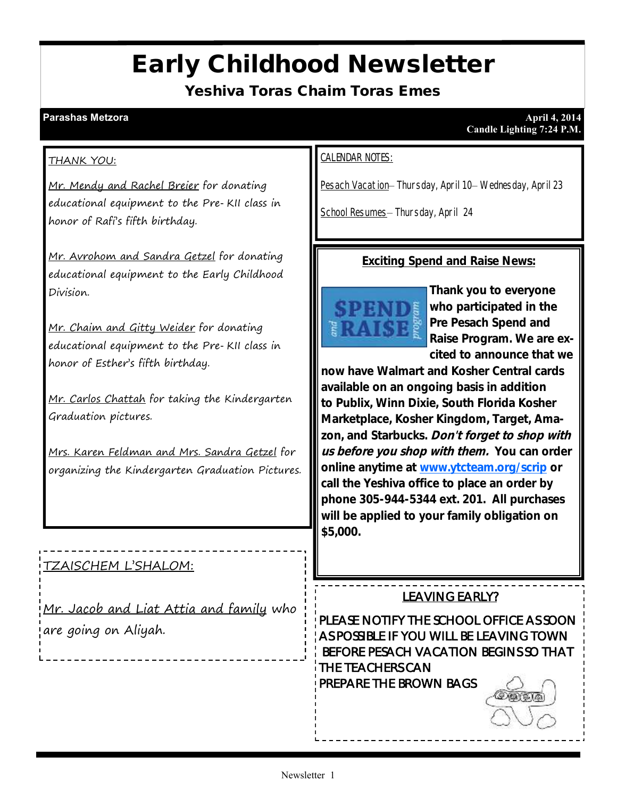# Early Childhood Newsletter

Yeshiva Toras Chaim Toras Emes

#### THANK YOU:

Mr. Mendy and Rachel Breier for donating educational equipment to the Pre-KII class in honor of Rafi's fifth birthday.

Mr. Avrohom and Sandra Getzel for donating educational equipment to the Early Childhood Division.

Mr. Chaim and Gitty Weider for donating educational equipment to the Pre-KII class in honor of Esther's fifth birthday.

Mr. Carlos Chattah for taking the Kindergarten Graduation pictures.

Mrs. Karen Feldman and Mrs. Sandra Getzel for organizing the Kindergarten Graduation Pictures.

#### TZAISCHEM L'SHALOM:

Mr. Jacob and Liat Attia and family who are going on Aliyah.

#### CALENDAR NOTES:

Pesach Vacation– Thursday, April 10– Wednesday, April 23

School Resumes– Thursday, April 24

**Exciting Spend and Raise News:**



**Thank you to everyone who participated in the Pre Pesach Spend and Raise Program. We are excited to announce that we** 

**now have Walmart and Kosher Central cards available on an ongoing basis in addition to Publix, Winn Dixie, South Florida Kosher Marketplace, Kosher Kingdom, Target, Amazon, and Starbucks. Don't forget to shop with us before you shop with them. You can order online anytime at [www.ytcteam.org/scrip](http://www.ytcteam.org/scrip) or call the Yeshiva office to place an order by phone 305-944-5344 ext. 201. All purchases will be applied to your family obligation on \$5,000.** 

LEAVING EARLY?

PLEASE NOTIFY THE SCHOOL OFFICE AS SOON AS POSSIBLE IF YOU WILL BE LEAVING TOWN BEFORE PESACH VACATION BEGINS SO THAT THE TEACHERS CAN PREPARE THE BROWN BAGS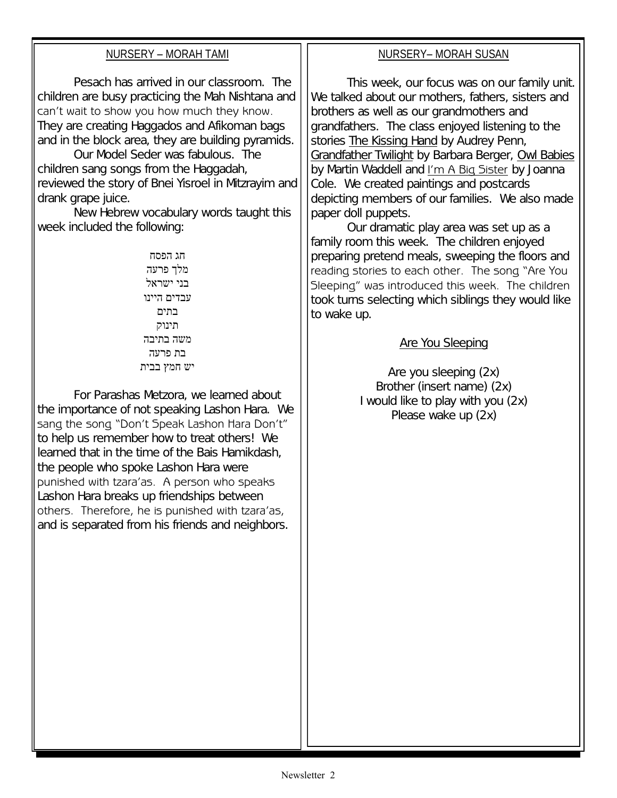| NURSERY - MORAH TAMI                                                                                                                                                                                                                                                                                                                                                                                                                                                                                                                                                                                                                                                                                                                                                                                                                                                                                                                                                                                                                                                                            | NURSERY-MORAH SUSAN                                                                                                                                                                                                                                                                                                                                                                                                                                                                                                                                                                                                                                                                                                                                                                                                                                                                                                                                            |
|-------------------------------------------------------------------------------------------------------------------------------------------------------------------------------------------------------------------------------------------------------------------------------------------------------------------------------------------------------------------------------------------------------------------------------------------------------------------------------------------------------------------------------------------------------------------------------------------------------------------------------------------------------------------------------------------------------------------------------------------------------------------------------------------------------------------------------------------------------------------------------------------------------------------------------------------------------------------------------------------------------------------------------------------------------------------------------------------------|----------------------------------------------------------------------------------------------------------------------------------------------------------------------------------------------------------------------------------------------------------------------------------------------------------------------------------------------------------------------------------------------------------------------------------------------------------------------------------------------------------------------------------------------------------------------------------------------------------------------------------------------------------------------------------------------------------------------------------------------------------------------------------------------------------------------------------------------------------------------------------------------------------------------------------------------------------------|
| Pesach has arrived in our classroom. The<br>children are busy practicing the Mah Nishtana and<br>can't wait to show you how much they know.<br>They are creating Haggados and Afikoman bags<br>and in the block area, they are building pyramids.<br>Our Model Seder was fabulous. The<br>children sang songs from the Haggadah,<br>reviewed the story of Bnei Yisroel in Mitzrayim and<br>drank grape juice.<br>New Hebrew vocabulary words taught this<br>week included the following:<br>חג הפסח<br>מלך פרעה<br>בני ישראל<br>עבדים היינו<br>בתים<br>תינוק<br>משה בתיבה<br>בת פרעה<br>יש חמץ בבית<br>For Parashas Metzora, we learned about<br>the importance of not speaking Lashon Hara. We<br>sang the song "Don't Speak Lashon Hara Don't"<br>to help us remember how to treat others! We<br>learned that in the time of the Bais Hamikdash,<br>the people who spoke Lashon Hara were<br>punished with tzara'as. A person who speaks<br>Lashon Hara breaks up friendships between<br>others. Therefore, he is punished with tzara'as,<br>and is separated from his friends and neighbors. | This week, our focus was on our family unit.<br>We talked about our mothers, fathers, sisters and<br>brothers as well as our grandmothers and<br>grandfathers. The class enjoyed listening to the<br>stories <b>The Kissing Hand</b> by Audrey Penn,<br>Grandfather Twilight by Barbara Berger, Owl Babies<br>by Martin Waddell and I'm A Big Sister by Joanna<br>Cole. We created paintings and postcards<br>depicting members of our families. We also made<br>paper doll puppets.<br>Our dramatic play area was set up as a<br>family room this week. The children enjoyed<br>preparing pretend meals, sweeping the floors and<br>reading stories to each other. The song "Are You<br>Sleeping" was introduced this week. The children<br>took turns selecting which siblings they would like<br>to wake up.<br><b>Are You Sleeping</b><br>Are you sleeping (2x)<br>Brother (insert name) (2x)<br>I would like to play with you (2x)<br>Please wake up (2x) |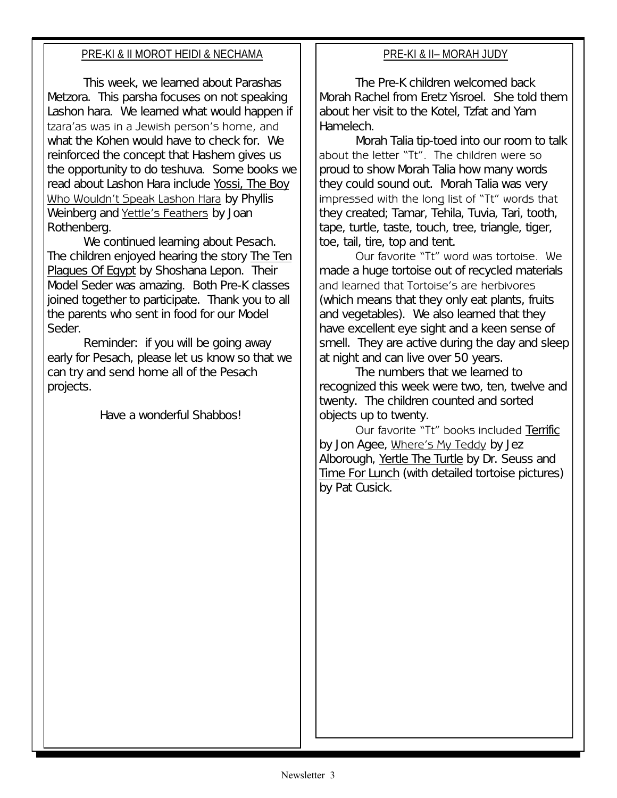#### PRE-KI & II MOROT HEIDI & NECHAMA

This week, we learned about Parashas Metzora. This parsha focuses on not speaking Lashon hara. We learned what would happen if tzara'as was in a Jewish person's home, and what the Kohen would have to check for. We reinforced the concept that Hashem gives us the opportunity to do teshuva. Some books we read about Lashon Hara include Yossi, The Boy Who Wouldn't Speak Lashon Hara by Phyllis Weinberg and Yettle's Feathers by Joan Rothenberg.

We continued learning about Pesach. The children enjoyed hearing the story The Ten Plagues Of Egypt by Shoshana Lepon. Their Model Seder was amazing. Both Pre-K classes joined together to participate. Thank you to all the parents who sent in food for our Model Seder.

Reminder: if you will be going away early for Pesach, please let us know so that we can try and send home all of the Pesach projects.

Have a wonderful Shabbos!

#### PRE-KI & II– MORAH JUDY

The Pre-K children welcomed back Morah Rachel from Eretz Yisroel. She told them about her visit to the Kotel, Tzfat and Yam Hamelech.

Morah Talia tip-toed into our room to talk about the letter "Tt". The children were so proud to show Morah Talia how many words they could sound out. Morah Talia was very impressed with the long list of "Tt" words that they created; Tamar, Tehila, Tuvia, Tari, tooth, tape, turtle, taste, touch, tree, triangle, tiger, toe, tail, tire, top and tent.

Our favorite "Tt" word was tortoise. We made a huge tortoise out of recycled materials and learned that Tortoise's are herbivores (which means that they only eat plants, fruits and vegetables). We also learned that they have excellent eye sight and a keen sense of smell. They are active during the day and sleep at night and can live over 50 years.

The numbers that we learned to recognized this week were two, ten, twelve and twenty. The children counted and sorted objects up to twenty.

Our favorite "Tt" books included Terrific by Jon Agee, Where's My Teddy by Jez Alborough, Yertle The Turtle by Dr. Seuss and Time For Lunch (with detailed tortoise pictures) by Pat Cusick.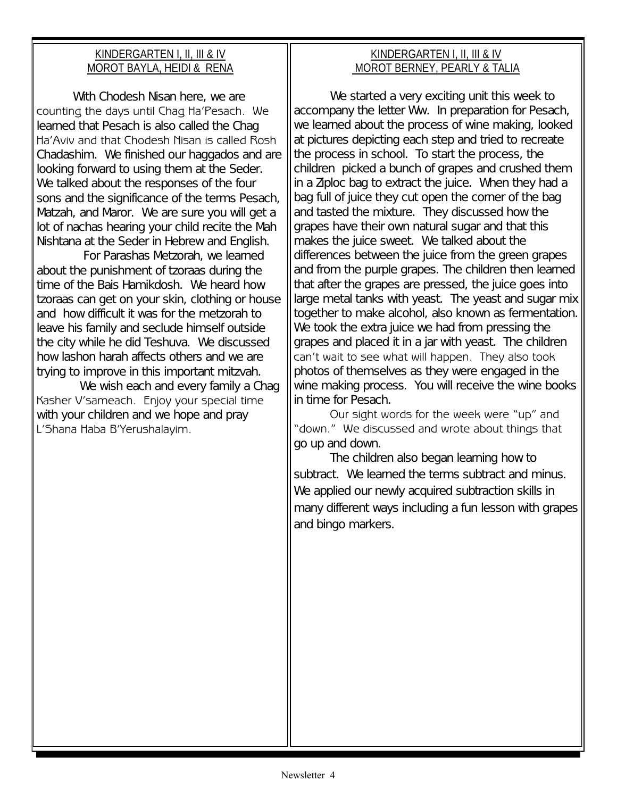#### KINDERGARTEN I, II, III & IV MOROT BAYLA, HEIDI & RENA

With Chodesh Nisan here, we are counting the days until Chag Ha'Pesach. We learned that Pesach is also called the Chag Ha'Aviv and that Chodesh Nisan is called Rosh Chadashim. We finished our haggados and are looking forward to using them at the Seder. We talked about the responses of the four sons and the significance of the terms Pesach, Matzah, and Maror. We are sure you will get a lot of nachas hearing your child recite the Mah Nishtana at the Seder in Hebrew and English.

 For Parashas Metzorah, we learned about the punishment of tzoraas during the time of the Bais Hamikdosh. We heard how tzoraas can get on your skin, clothing or house and how difficult it was for the metzorah to leave his family and seclude himself outside the city while he did Teshuva. We discussed how lashon harah affects others and we are trying to improve in this important mitzvah.

We wish each and every family a Chag Kasher V'sameach. Enjoy your special time with your children and we hope and pray L'Shana Haba B'Yerushalayim.

### KINDERGARTEN I, II, III & IV MOROT BERNEY, PEARLY & TALIA

We started a very exciting unit this week to accompany the letter Ww. In preparation for Pesach, we learned about the process of wine making, looked at pictures depicting each step and tried to recreate the process in school. To start the process, the children picked a bunch of grapes and crushed them in a Ziploc bag to extract the juice. When they had a bag full of juice they cut open the corner of the bag and tasted the mixture. They discussed how the grapes have their own natural sugar and that this makes the juice sweet. We talked about the differences between the juice from the green grapes and from the purple grapes. The children then learned that after the grapes are pressed, the juice goes into large metal tanks with yeast. The yeast and sugar mix together to make alcohol, also known as fermentation. We took the extra juice we had from pressing the grapes and placed it in a jar with yeast. The children can't wait to see what will happen. They also took photos of themselves as they were engaged in the wine making process. You will receive the wine books in time for Pesach.

Our sight words for the week were "up" and "down." We discussed and wrote about things that go up and down.

The children also began learning how to subtract. We learned the terms subtract and minus. We applied our newly acquired subtraction skills in many different ways including a fun lesson with grapes and bingo markers.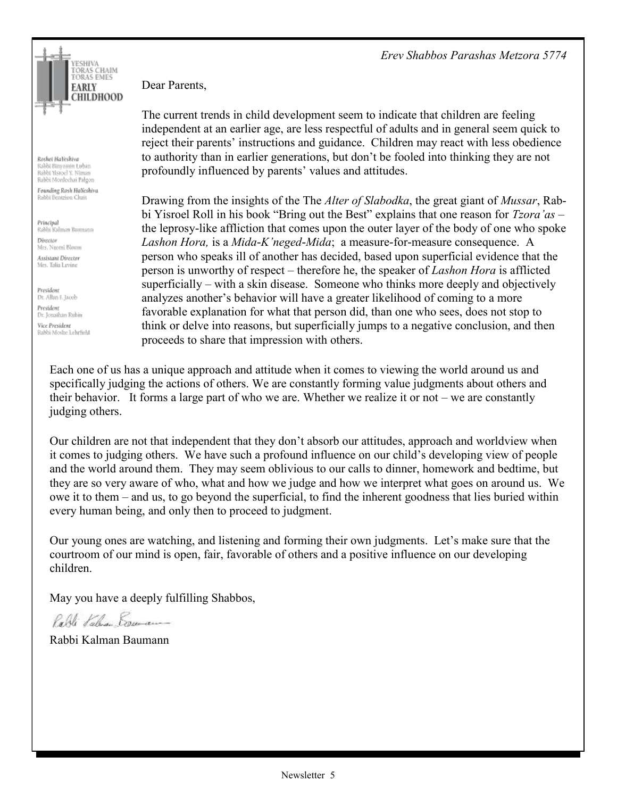*Erev Shabbos Parashas Metzora 5774*



Roshei HaYeshiya Rabbi Binyomin Luban Rabbi Yisroel Y. Niman Rabbi Mordechai Palgon

Founding Rosh HaYeshiva Rabbi Bentzion Chait

Principal Rabbi Kalman Baumann Director Mrs. Naomi Bloom Assistant Director Mrs. Talia Levine

President Dr. Allan I. Jacob President Dr. Jonathan Rubin Vice President Rabbi Moshe Lehrfield Dear Parents,

The current trends in child development seem to indicate that children are feeling independent at an earlier age, are less respectful of adults and in general seem quick to reject their parents' instructions and guidance. Children may react with less obedience to authority than in earlier generations, but don't be fooled into thinking they are not profoundly influenced by parents' values and attitudes.

Drawing from the insights of the The *Alter of Slabodka*, the great giant of *Mussar*, Rabbi Yisroel Roll in his book "Bring out the Best" explains that one reason for *Tzora'as* – the leprosy-like affliction that comes upon the outer layer of the body of one who spoke *Lashon Hora,* is a *Mida-K'neged-Mida*; a measure-for-measure consequence. A person who speaks ill of another has decided, based upon superficial evidence that the person is unworthy of respect – therefore he, the speaker of *Lashon Hora* is afflicted superficially – with a skin disease. Someone who thinks more deeply and objectively analyzes another's behavior will have a greater likelihood of coming to a more favorable explanation for what that person did, than one who sees, does not stop to think or delve into reasons, but superficially jumps to a negative conclusion, and then proceeds to share that impression with others.

Each one of us has a unique approach and attitude when it comes to viewing the world around us and specifically judging the actions of others. We are constantly forming value judgments about others and their behavior. It forms a large part of who we are. Whether we realize it or not – we are constantly judging others.

Our children are not that independent that they don't absorb our attitudes, approach and worldview when it comes to judging others. We have such a profound influence on our child's developing view of people and the world around them. They may seem oblivious to our calls to dinner, homework and bedtime, but they are so very aware of who, what and how we judge and how we interpret what goes on around us. We owe it to them – and us, to go beyond the superficial, to find the inherent goodness that lies buried within every human being, and only then to proceed to judgment.

Our young ones are watching, and listening and forming their own judgments. Let's make sure that the courtroom of our mind is open, fair, favorable of others and a positive influence on our developing children.

May you have a deeply fulfilling Shabbos,

Parti Kaluar Brunan

Rabbi Kalman Baumann